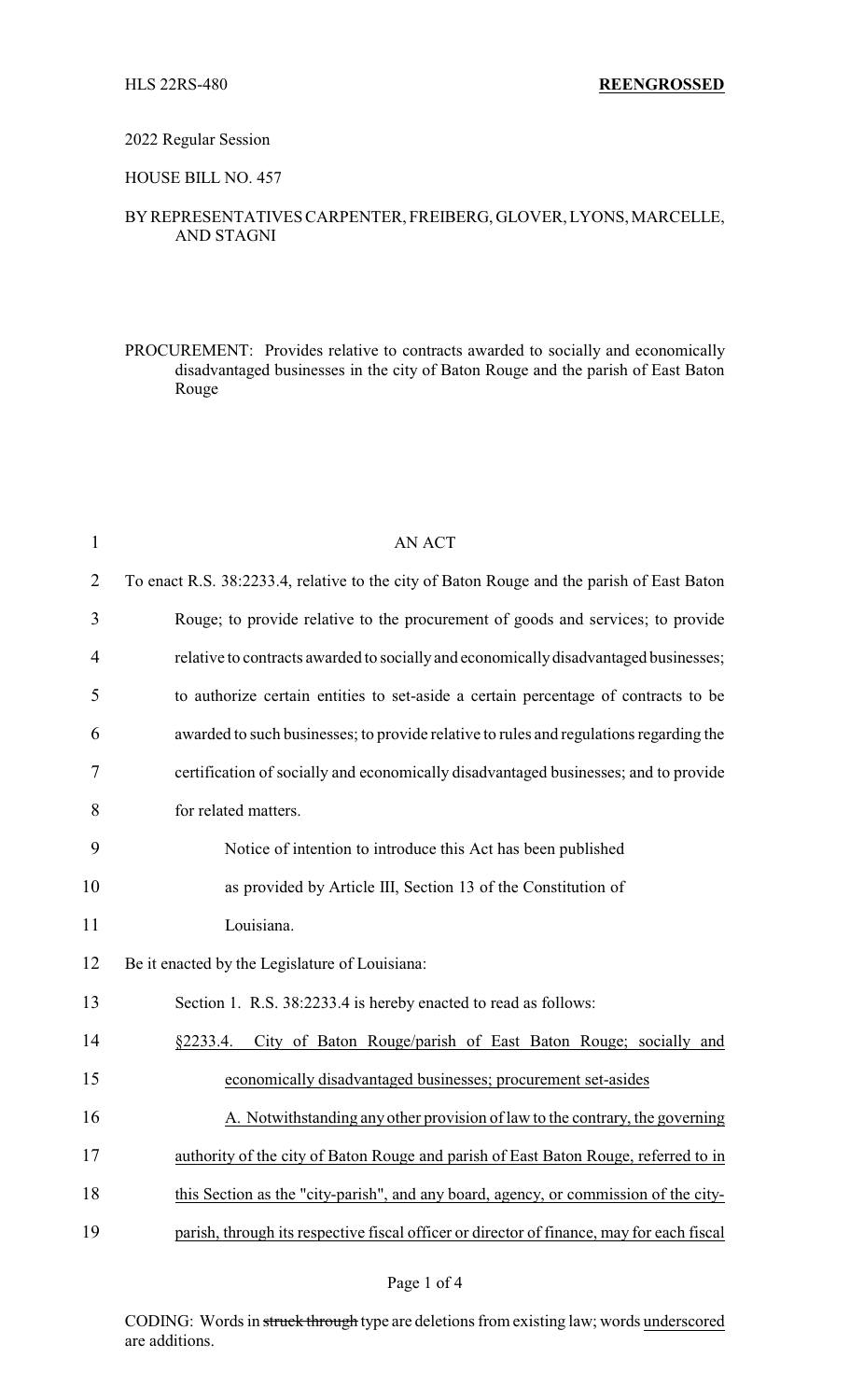### 2022 Regular Session

# HOUSE BILL NO. 457

# BYREPRESENTATIVES CARPENTER, FREIBERG, GLOVER, LYONS, MARCELLE, AND STAGNI

PROCUREMENT: Provides relative to contracts awarded to socially and economically disadvantaged businesses in the city of Baton Rouge and the parish of East Baton Rouge

| $\mathbf{1}$   | <b>AN ACT</b>                                                                             |
|----------------|-------------------------------------------------------------------------------------------|
| $\overline{2}$ | To enact R.S. 38:2233.4, relative to the city of Baton Rouge and the parish of East Baton |
| 3              | Rouge; to provide relative to the procurement of goods and services; to provide           |
| 4              | relative to contracts awarded to socially and economically disadvantaged businesses;      |
| 5              | to authorize certain entities to set-aside a certain percentage of contracts to be        |
| 6              | awarded to such businesses; to provide relative to rules and regulations regarding the    |
| 7              | certification of socially and economically disadvantaged businesses; and to provide       |
| 8              | for related matters.                                                                      |
| 9              | Notice of intention to introduce this Act has been published                              |
| 10             | as provided by Article III, Section 13 of the Constitution of                             |
| 11             | Louisiana.                                                                                |
| 12             | Be it enacted by the Legislature of Louisiana:                                            |
| 13             | Section 1. R.S. 38:2233.4 is hereby enacted to read as follows:                           |
| 14             | City of Baton Rouge/parish of East Baton Rouge; socially and<br>§2233.4.                  |
| 15             | economically disadvantaged businesses; procurement set-asides                             |
| 16             | A. Notwithstanding any other provision of law to the contrary, the governing              |
| 17             | authority of the city of Baton Rouge and parish of East Baton Rouge, referred to in       |
| 18             | this Section as the "city-parish", and any board, agency, or commission of the city-      |
| 19             | parish, through its respective fiscal officer or director of finance, may for each fiscal |

### Page 1 of 4

CODING: Words in struck through type are deletions from existing law; words underscored are additions.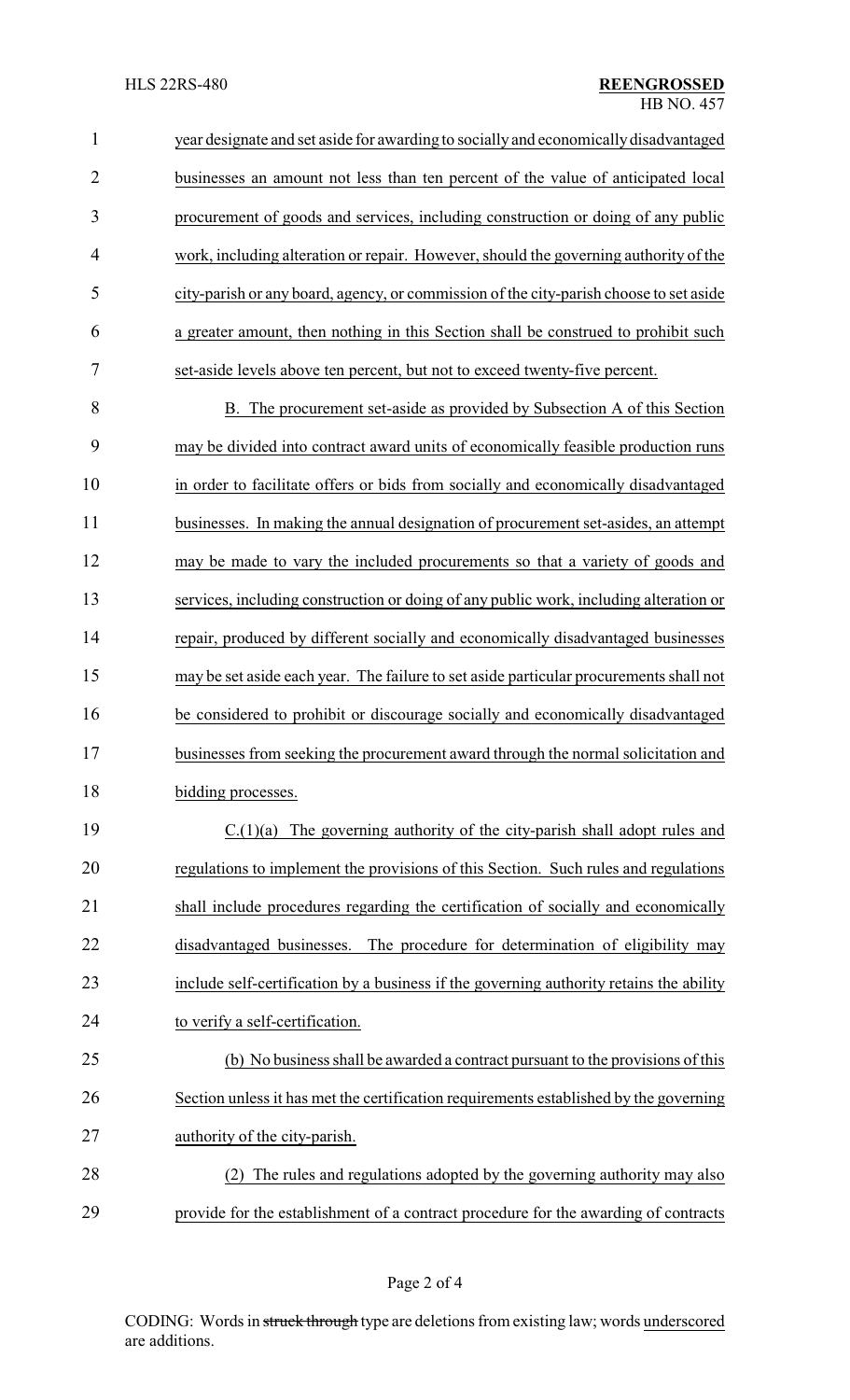year designate and set aside for awarding to socially and economicallydisadvantaged businesses an amount not less than ten percent of the value of anticipated local procurement of goods and services, including construction or doing of any public work, including alteration or repair. However, should the governing authority of the city-parish or any board, agency, or commission of the city-parish choose to set aside a greater amount, then nothing in this Section shall be construed to prohibit such set-aside levels above ten percent, but not to exceed twenty-five percent.

 B. The procurement set-aside as provided by Subsection A of this Section may be divided into contract award units of economically feasible production runs in order to facilitate offers or bids from socially and economically disadvantaged businesses. In making the annual designation of procurement set-asides, an attempt may be made to vary the included procurements so that a variety of goods and services, including construction or doing of any public work, including alteration or repair, produced by different socially and economically disadvantaged businesses may be set aside each year. The failure to set aside particular procurements shall not be considered to prohibit or discourage socially and economically disadvantaged businesses from seeking the procurement award through the normal solicitation and 18 bidding processes.

 C.(1)(a) The governing authority of the city-parish shall adopt rules and regulations to implement the provisions of this Section. Such rules and regulations shall include procedures regarding the certification of socially and economically disadvantaged businesses. The procedure for determination of eligibility may include self-certification by a business if the governing authority retains the ability to verify a self-certification.

 (b) No business shall be awarded a contract pursuant to the provisions of this Section unless it has met the certification requirements established by the governing authority of the city-parish.

 (2) The rules and regulations adopted by the governing authority may also provide for the establishment of a contract procedure for the awarding of contracts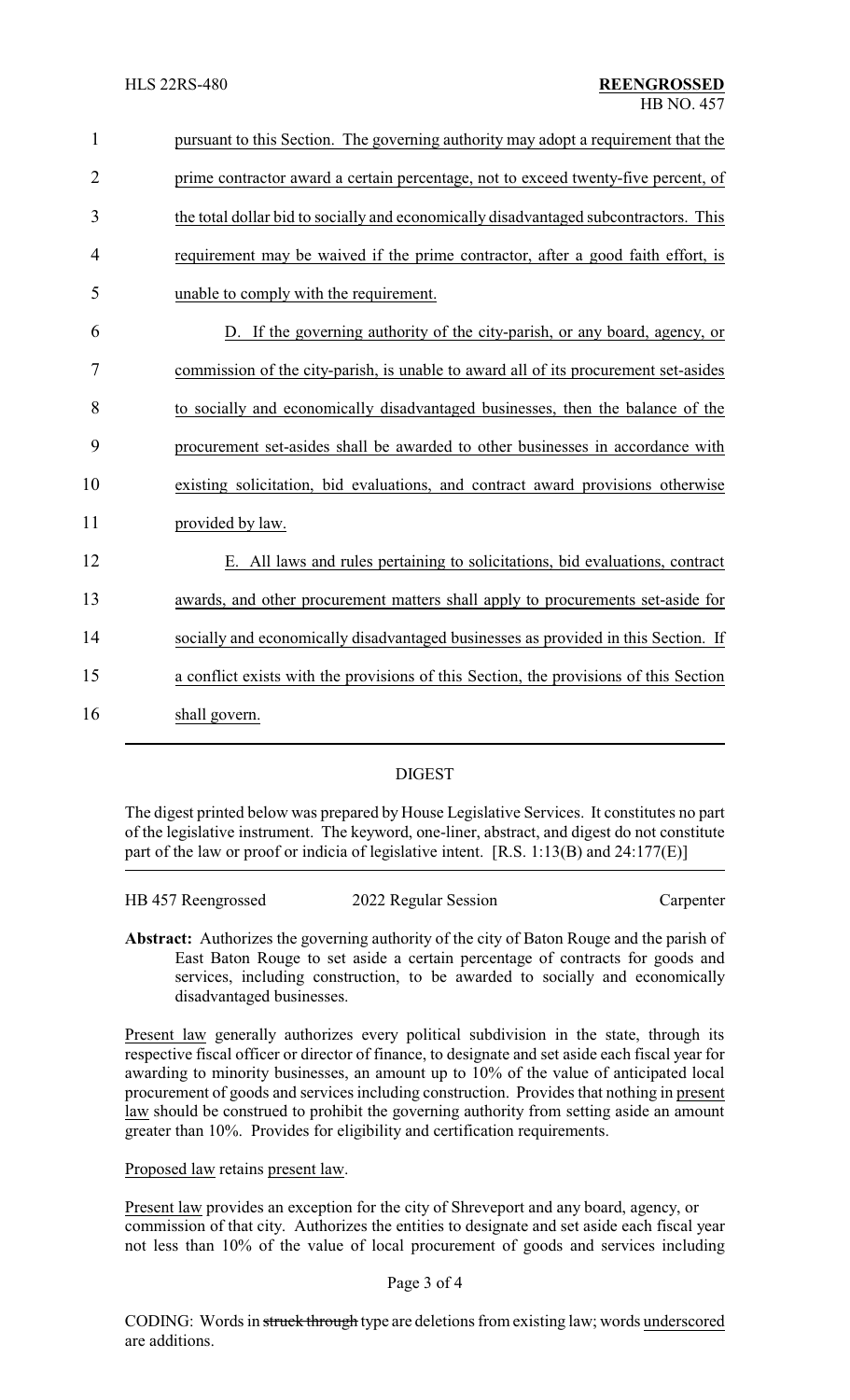| $\mathbf{1}$   | pursuant to this Section. The governing authority may adopt a requirement that the    |
|----------------|---------------------------------------------------------------------------------------|
| $\overline{2}$ | prime contractor award a certain percentage, not to exceed twenty-five percent, of    |
| 3              | the total dollar bid to socially and economically disadvantaged subcontractors. This  |
| 4              | requirement may be waived if the prime contractor, after a good faith effort, is      |
| 5              | unable to comply with the requirement.                                                |
| 6              | D. If the governing authority of the city-parish, or any board, agency, or            |
| 7              | commission of the city-parish, is unable to award all of its procurement set-asides   |
| 8              | to socially and economically disadvantaged businesses, then the balance of the        |
| 9              | procurement set-asides shall be awarded to other businesses in accordance with        |
| 10             | existing solicitation, bid evaluations, and contract award provisions otherwise       |
| 11             | provided by law.                                                                      |
| 12             | E. All laws and rules pertaining to solicitations, bid evaluations, contract          |
| 13             | awards, and other procurement matters shall apply to procurements set-aside for       |
| 14             | socially and economically disadvantaged businesses as provided in this Section. If    |
| 15             | a conflict exists with the provisions of this Section, the provisions of this Section |
| 16             | shall govern.                                                                         |
|                |                                                                                       |

## DIGEST

The digest printed below was prepared by House Legislative Services. It constitutes no part of the legislative instrument. The keyword, one-liner, abstract, and digest do not constitute part of the law or proof or indicia of legislative intent. [R.S. 1:13(B) and 24:177(E)]

| HB 457 Reengrossed | 2022 Regular Session | Carpenter |
|--------------------|----------------------|-----------|
|                    |                      |           |

**Abstract:** Authorizes the governing authority of the city of Baton Rouge and the parish of East Baton Rouge to set aside a certain percentage of contracts for goods and services, including construction, to be awarded to socially and economically disadvantaged businesses.

Present law generally authorizes every political subdivision in the state, through its respective fiscal officer or director of finance, to designate and set aside each fiscal year for awarding to minority businesses, an amount up to 10% of the value of anticipated local procurement of goods and services including construction. Provides that nothing in present law should be construed to prohibit the governing authority from setting aside an amount greater than 10%. Provides for eligibility and certification requirements.

Proposed law retains present law.

Present law provides an exception for the city of Shreveport and any board, agency, or commission of that city. Authorizes the entities to designate and set aside each fiscal year not less than 10% of the value of local procurement of goods and services including

#### Page 3 of 4

CODING: Words in struck through type are deletions from existing law; words underscored are additions.